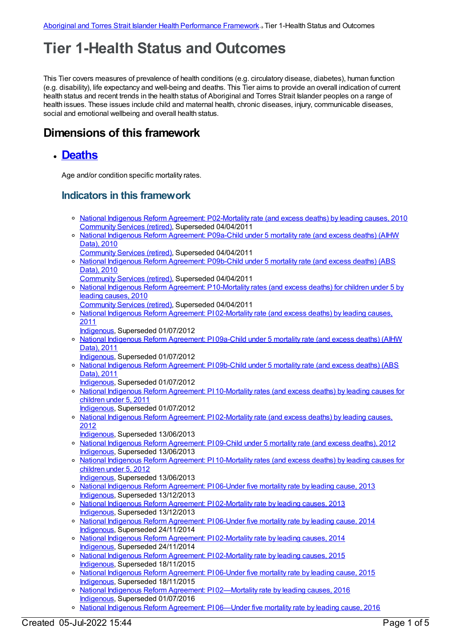# **Tier 1-Health Status and Outcomes**

This Tier covers measures of prevalence of health conditions (e.g. circulatory disease, diabetes), human function (e.g. disability), life expectancy and well-being and deaths. This Tier aims to provide an overall indication of current health status and recent trends in the health status of Aboriginal and Torres Strait Islander peoples on a range of health issues. These issues include child and maternal health, chronic diseases, injury, communicable diseases, social and emotional wellbeing and overall health status.

## **Dimensions of this framework**

#### **[Deaths](https://meteor.aihw.gov.au/content/410671)**

Age and/or condition specific mortality rates.

#### **Indicators in this framework**

- o National Indigenous Reform Agreement: [P02-Mortality](https://meteor.aihw.gov.au/content/396109) rate (and excess deaths) by leading causes, 2010 [Community](https://meteor.aihw.gov.au/RegistrationAuthority/1) Services (retired), Superseded 04/04/2011
- o National Indigenous Reform [Agreement:](https://meteor.aihw.gov.au/content/396923) P09a-Child under 5 mortality rate (and excess deaths) (AIHW Data), 2010
- [Community](https://meteor.aihw.gov.au/RegistrationAuthority/1) Services (retired), Superseded 04/04/2011
- o National Indigenous Reform [Agreement:](https://meteor.aihw.gov.au/content/396458) P09b-Child under 5 mortality rate (and excess deaths) (ABS Data), 2010
- [Community](https://meteor.aihw.gov.au/RegistrationAuthority/1) Services (retired), Superseded 04/04/2011
- National Indigenous Reform Agreement: [P10-Mortality](https://meteor.aihw.gov.au/content/396468) rates (and excess deaths) for children under 5 by leading causes, 2010
- [Community](https://meteor.aihw.gov.au/RegistrationAuthority/1) Services (retired), Superseded 04/04/2011
- o National Indigenous Reform Agreement: PI [02-Mortality](https://meteor.aihw.gov.au/content/425739) rate (and excess deaths) by leading causes, 2011
	- [Indigenous](https://meteor.aihw.gov.au/RegistrationAuthority/6), Superseded 01/07/2012
- o National Indigenous Reform [Agreement:](https://meteor.aihw.gov.au/content/425755) PI 09a-Child under 5 mortality rate (and excess deaths) (AIHW Data), 2011
	- [Indigenous](https://meteor.aihw.gov.au/RegistrationAuthority/6), Superseded 01/07/2012
- o National Indigenous Reform [Agreement:](https://meteor.aihw.gov.au/content/425757) PI 09b-Child under 5 mortality rate (and excess deaths) (ABS Data), 2011
	- [Indigenous](https://meteor.aihw.gov.au/RegistrationAuthority/6), Superseded 01/07/2012
- o National Indigenous Reform Agreement: PI [10-Mortality](https://meteor.aihw.gov.au/content/425760) rates (and excess deaths) by leading causes for children under 5, 2011
	- [Indigenous](https://meteor.aihw.gov.au/RegistrationAuthority/6), Superseded 01/07/2012
- o National Indigenous Reform Agreement: PI [02-Mortality](https://meteor.aihw.gov.au/content/438560) rate (and excess deaths) by leading causes, 2012
	- [Indigenous](https://meteor.aihw.gov.au/RegistrationAuthority/6), Superseded 13/06/2013
- o National Indigenous Reform [Agreement:](https://meteor.aihw.gov.au/content/438608) PI 09-Child under 5 mortality rate (and excess deaths), 2012 [Indigenous](https://meteor.aihw.gov.au/RegistrationAuthority/6), Superseded 13/06/2013
- o National Indigenous Reform Agreement: PI [10-Mortality](https://meteor.aihw.gov.au/content/438617) rates (and excess deaths) by leading causes for children under 5, 2012
- [Indigenous](https://meteor.aihw.gov.au/RegistrationAuthority/6), Superseded 13/06/2013 o National Indigenous Reform [Agreement:](https://meteor.aihw.gov.au/content/481154) PI 06-Under five mortality rate by leading cause, 2013 [Indigenous](https://meteor.aihw.gov.au/RegistrationAuthority/6), Superseded 13/12/2013
- o National Indigenous Reform Agreement: PI [02-Mortality](https://meteor.aihw.gov.au/content/481149) rate by leading causes, 2013 [Indigenous](https://meteor.aihw.gov.au/RegistrationAuthority/6), Superseded 13/12/2013
- o National Indigenous Reform [Agreement:](https://meteor.aihw.gov.au/content/525845) P106-Under five mortality rate by leading cause, 2014 [Indigenous](https://meteor.aihw.gov.au/RegistrationAuthority/6), Superseded 24/11/2014
- o National Indigenous Reform Agreement: PI [02-Mortality](https://meteor.aihw.gov.au/content/525824) rate by leading causes, 2014 [Indigenous](https://meteor.aihw.gov.au/RegistrationAuthority/6), Superseded 24/11/2014
- o National Indigenous Reform Agreement: PI [02-Mortality](https://meteor.aihw.gov.au/content/579065) rate by leading causes, 2015 [Indigenous](https://meteor.aihw.gov.au/RegistrationAuthority/6), Superseded 18/11/2015
- o National Indigenous Reform [Agreement:](https://meteor.aihw.gov.au/content/579074) PI 06-Under five mortality rate by leading cause, 2015 [Indigenous](https://meteor.aihw.gov.au/RegistrationAuthority/6), Superseded 18/11/2015
- o National Indigenous Reform Agreement: PI [02—Mortality](https://meteor.aihw.gov.au/content/611147) rate by leading causes, 2016 [Indigenous](https://meteor.aihw.gov.au/RegistrationAuthority/6), Superseded 01/07/2016
- o National Indigenous Reform [Agreement:](https://meteor.aihw.gov.au/content/611173) PI 06—Under five mortality rate by leading cause, 2016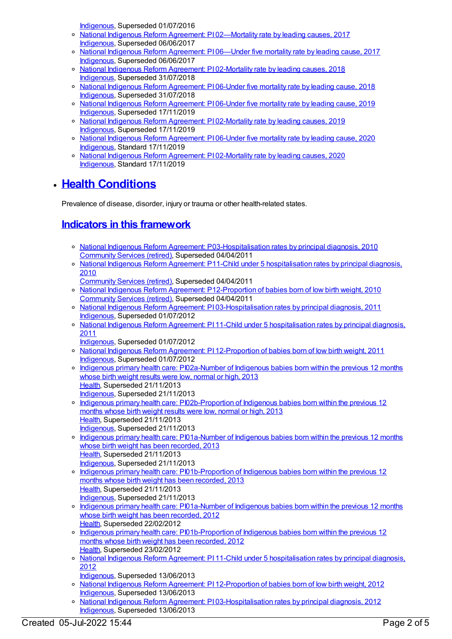[Indigenous](https://meteor.aihw.gov.au/RegistrationAuthority/6), Superseded 01/07/2016

- o National Indigenous Reform Agreement: PI 02-Mortality rate by leading causes, 2017 [Indigenous](https://meteor.aihw.gov.au/RegistrationAuthority/6), Superseded 06/06/2017
- o National Indigenous Reform [Agreement:](https://meteor.aihw.gov.au/content/645393) PI 06—Under five mortality rate by leading cause, 2017 [Indigenous](https://meteor.aihw.gov.au/RegistrationAuthority/6), Superseded 06/06/2017
- o National Indigenous Reform Agreement: PI [02-Mortality](https://meteor.aihw.gov.au/content/668666) rate by leading causes, 2018 [Indigenous](https://meteor.aihw.gov.au/RegistrationAuthority/6), Superseded 31/07/2018
- o National Indigenous Reform [Agreement:](https://meteor.aihw.gov.au/content/668676) PI 06-Under five mortality rate by leading cause, 2018 [Indigenous](https://meteor.aihw.gov.au/RegistrationAuthority/6), Superseded 31/07/2018
- o National Indigenous Reform [Agreement:](https://meteor.aihw.gov.au/content/697300) PI 06-Under five mortality rate by leading cause, 2019 [Indigenous](https://meteor.aihw.gov.au/RegistrationAuthority/6), Superseded 17/11/2019
- National Indigenous Reform Agreement: PI [02-Mortality](https://meteor.aihw.gov.au/content/697096) rate by leading causes, 2019 [Indigenous](https://meteor.aihw.gov.au/RegistrationAuthority/6), Superseded 17/11/2019
- o National Indigenous Reform [Agreement:](https://meteor.aihw.gov.au/content/718482) PI 06-Under five mortality rate by leading cause, 2020 [Indigenous](https://meteor.aihw.gov.au/RegistrationAuthority/6), Standard 17/11/2019
- National Indigenous Reform Agreement: PI [02-Mortality](https://meteor.aihw.gov.au/content/718472) rate by leading causes, 2020 [Indigenous](https://meteor.aihw.gov.au/RegistrationAuthority/6), Standard 17/11/2019

# **Health [Conditions](https://meteor.aihw.gov.au/content/410650)**

Prevalence of disease, disorder, injury or trauma or other health-related states.

## **Indicators in this [framework](file:///content/410647)**

- National Indigenous Reform Agreement: [P03-Hospitalisation](https://meteor.aihw.gov.au/content/396194) rates by principal diagnosis, 2010 [Community](https://meteor.aihw.gov.au/RegistrationAuthority/1) Services (retired), Superseded 04/04/2011
- o National Indigenous Reform Agreement: P11-Child under 5 [hospitalisation](https://meteor.aihw.gov.au/content/396470) rates by principal diagnosis, 2010
- [Community](https://meteor.aihw.gov.au/RegistrationAuthority/1) Services (retired), Superseded 04/04/2011
- National Indigenous Reform Agreement: [P12-Proportion](https://meteor.aihw.gov.au/content/396560) of babies born of low birth weight, 2010 [Community](https://meteor.aihw.gov.au/RegistrationAuthority/1) Services (retired), Superseded 04/04/2011
- o National Indigenous Reform Agreement: PI [03-Hospitalisation](https://meteor.aihw.gov.au/content/425741) rates by principal diagnosis, 2011 [Indigenous](https://meteor.aihw.gov.au/RegistrationAuthority/6), Superseded 01/07/2012
- o National Indigenous Reform Agreement: PI 11-Child under 5 [hospitalisation](https://meteor.aihw.gov.au/content/425764) rates by principal diagnosis, 2011
	- [Indigenous](https://meteor.aihw.gov.au/RegistrationAuthority/6), Superseded 01/07/2012
- o National Indigenous Reform Agreement: PI [12-Proportion](https://meteor.aihw.gov.au/content/425771) of babies born of low birth weight, 2011 [Indigenous](https://meteor.aihw.gov.au/RegistrationAuthority/6), Superseded 01/07/2012
- o Indigenous primary health care: [PI02a-Number](https://meteor.aihw.gov.au/content/450659) of Indigenous babies born within the previous 12 months whose birth weight results were low, normal or high, 2013 [Health](https://meteor.aihw.gov.au/RegistrationAuthority/12), Superseded 21/11/2013 [Indigenous](https://meteor.aihw.gov.au/RegistrationAuthority/6), Superseded 21/11/2013
- o Indigenous primary health care: [PI02b-Proportion](https://meteor.aihw.gov.au/content/450666) of Indigenous babies born within the previous 12 months whose birth weight results were low, normal or high, 2013 [Health](https://meteor.aihw.gov.au/RegistrationAuthority/12), Superseded 21/11/2013 [Indigenous](https://meteor.aihw.gov.au/RegistrationAuthority/6), Superseded 21/11/2013
- o Indigenous primary health care: [PI01a-Number](https://meteor.aihw.gov.au/content/468087) of Indigenous babies born within the previous 12 months whose birth weight has been recorded, 2013 [Health](https://meteor.aihw.gov.au/RegistrationAuthority/12), Superseded 21/11/2013 [Indigenous](https://meteor.aihw.gov.au/RegistrationAuthority/6), Superseded 21/11/2013
- o Indigenous primary health care: [PI01b-Proportion](https://meteor.aihw.gov.au/content/468089) of Indigenous babies born within the previous 12 months whose birth weight has been recorded, 2013 [Health](https://meteor.aihw.gov.au/RegistrationAuthority/12), Superseded 21/11/2013 [Indigenous](https://meteor.aihw.gov.au/RegistrationAuthority/6), Superseded 21/11/2013
- o Indigenous primary health care: [PI01a-Number](https://meteor.aihw.gov.au/content/431539) of Indigenous babies born within the previous 12 months whose birth weight has been recorded, 2012 [Health](https://meteor.aihw.gov.au/RegistrationAuthority/12), Superseded 22/02/2012
- o Indigenous primary health care: [PI01b-Proportion](https://meteor.aihw.gov.au/content/430640) of Indigenous babies born within the previous 12 months whose birth weight has been recorded, 2012 [Health](https://meteor.aihw.gov.au/RegistrationAuthority/12), Superseded 23/02/2012
- o National Indigenous Reform Agreement: PI 11-Child under 5 [hospitalisation](https://meteor.aihw.gov.au/content/438622) rates by principal diagnosis, 2012
- [Indigenous](https://meteor.aihw.gov.au/RegistrationAuthority/6), Superseded 13/06/2013
- o National Indigenous Reform Agreement: PI [12-Proportion](https://meteor.aihw.gov.au/content/438630) of babies born of low birth weight, 2012 [Indigenous](https://meteor.aihw.gov.au/RegistrationAuthority/6), Superseded 13/06/2013
- o National Indigenous Reform Agreement: PI [03-Hospitalisation](https://meteor.aihw.gov.au/content/438499) rates by principal diagnosis, 2012 [Indigenous](https://meteor.aihw.gov.au/RegistrationAuthority/6), Superseded 13/06/2013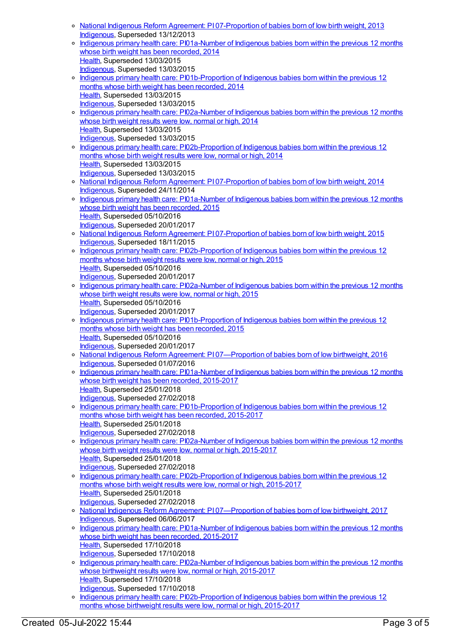- National Indigenous Reform Agreement: PI [07-Proportion](https://meteor.aihw.gov.au/content/484305) of babies born of low birth weight, 2013 [Indigenous](https://meteor.aihw.gov.au/RegistrationAuthority/6), Superseded 13/12/2013
- Indigenous primary health care: [PI01a-Number](https://meteor.aihw.gov.au/content/504688) of Indigenous babies born within the previous 12 months whose birth weight has been recorded, 2014 [Health](https://meteor.aihw.gov.au/RegistrationAuthority/12), Superseded 13/03/2015 [Indigenous](https://meteor.aihw.gov.au/RegistrationAuthority/6), Superseded 13/03/2015
- o Indigenous primary health care: [PI01b-Proportion](https://meteor.aihw.gov.au/content/504690) of Indigenous babies born within the previous 12 months whose birth weight has been recorded, 2014 [Health](https://meteor.aihw.gov.au/RegistrationAuthority/12), Superseded 13/03/2015 [Indigenous](https://meteor.aihw.gov.au/RegistrationAuthority/6), Superseded 13/03/2015
- o Indigenous primary health care: [PI02a-Number](https://meteor.aihw.gov.au/content/504692) of Indigenous babies born within the previous 12 months whose birth weight results were low, normal or high, 2014 [Health](https://meteor.aihw.gov.au/RegistrationAuthority/12), Superseded 13/03/2015 [Indigenous](https://meteor.aihw.gov.au/RegistrationAuthority/6), Superseded 13/03/2015
- o Indigenous primary health care: [PI02b-Proportion](https://meteor.aihw.gov.au/content/504694) of Indigenous babies born within the previous 12 months whose birth weight results were low, normal or high, 2014 [Health](https://meteor.aihw.gov.au/RegistrationAuthority/12), Superseded 13/03/2015 [Indigenous](https://meteor.aihw.gov.au/RegistrationAuthority/6), Superseded 13/03/2015
- National Indigenous Reform Agreement: PI [07-Proportion](https://meteor.aihw.gov.au/content/525840) of babies born of low birth weight, 2014 [Indigenous](https://meteor.aihw.gov.au/RegistrationAuthority/6), Superseded 24/11/2014
- Indigenous primary health care: [PI01a-Number](https://meteor.aihw.gov.au/content/587703) of Indigenous babies born within the previous 12 months whose birth weight has been recorded, 2015 [Health](https://meteor.aihw.gov.au/RegistrationAuthority/12), Superseded 05/10/2016 [Indigenous](https://meteor.aihw.gov.au/RegistrationAuthority/6), Superseded 20/01/2017
- o National Indigenous Reform Agreement: PI [07-Proportion](https://meteor.aihw.gov.au/content/579076) of babies born of low birth weight, 2015 [Indigenous](https://meteor.aihw.gov.au/RegistrationAuthority/6), Superseded 18/11/2015
- o Indigenous primary health care: [PI02b-Proportion](https://meteor.aihw.gov.au/content/588977) of Indigenous babies born within the previous 12 months whose birth weight results were low, normal or high, 2015 [Health](https://meteor.aihw.gov.au/RegistrationAuthority/12), Superseded 05/10/2016 [Indigenous](https://meteor.aihw.gov.au/RegistrationAuthority/6), Superseded 20/01/2017
- o Indigenous primary health care: [PI02a-Number](https://meteor.aihw.gov.au/content/588973) of Indigenous babies born within the previous 12 months whose birth weight results were low, normal or high, 2015 [Health](https://meteor.aihw.gov.au/RegistrationAuthority/12), Superseded 05/10/2016 [Indigenous](https://meteor.aihw.gov.au/RegistrationAuthority/6), Superseded 20/01/2017
- o Indigenous primary health care: [PI01b-Proportion](https://meteor.aihw.gov.au/content/588971) of Indigenous babies born within the previous 12 months whose birth weight has been recorded, 2015 [Health](https://meteor.aihw.gov.au/RegistrationAuthority/12), Superseded 05/10/2016 [Indigenous](https://meteor.aihw.gov.au/RegistrationAuthority/6), Superseded 20/01/2017
- o National Indigenous Reform Agreement: PI 07-Proportion of babies born of low birthweight, 2016 [Indigenous](https://meteor.aihw.gov.au/RegistrationAuthority/6), Superseded 01/07/2016
- o Indigenous primary health care: [PI01a-Number](https://meteor.aihw.gov.au/content/663900) of Indigenous babies born within the previous 12 months whose birth weight has been recorded, 2015-2017 [Health](https://meteor.aihw.gov.au/RegistrationAuthority/12), Superseded 25/01/2018 [Indigenous](https://meteor.aihw.gov.au/RegistrationAuthority/6), Superseded 27/02/2018
- o Indigenous primary health care: [PI01b-Proportion](https://meteor.aihw.gov.au/content/663903) of Indigenous babies born within the previous 12 months whose birth weight has been recorded, 2015-2017 [Health](https://meteor.aihw.gov.au/RegistrationAuthority/12), Superseded 25/01/2018 [Indigenous](https://meteor.aihw.gov.au/RegistrationAuthority/6), Superseded 27/02/2018
- Indigenous primary health care: [PI02a-Number](https://meteor.aihw.gov.au/content/663905) of Indigenous babies born within the previous 12 months whose birth weight results were low, normal or high, 2015-2017 [Health](https://meteor.aihw.gov.au/RegistrationAuthority/12), Superseded 25/01/2018 [Indigenous](https://meteor.aihw.gov.au/RegistrationAuthority/6), Superseded 27/02/2018
- o Indigenous primary health care: [PI02b-Proportion](https://meteor.aihw.gov.au/content/663907) of Indigenous babies born within the previous 12 months whose birth weight results were low, normal or high, 2015-2017 [Health](https://meteor.aihw.gov.au/RegistrationAuthority/12), Superseded 25/01/2018 [Indigenous](https://meteor.aihw.gov.au/RegistrationAuthority/6), Superseded 27/02/2018
- o National Indigenous Reform Agreement: PI 07-Proportion of babies born of low birthweight, 2017 [Indigenous](https://meteor.aihw.gov.au/RegistrationAuthority/6), Superseded 06/06/2017
- Indigenous primary health care: [PI01a-Number](https://meteor.aihw.gov.au/content/686339) of Indigenous babies born within the previous 12 months whose birth weight has been recorded, 2015-2017 [Health](https://meteor.aihw.gov.au/RegistrationAuthority/12), Superseded 17/10/2018
- [Indigenous](https://meteor.aihw.gov.au/RegistrationAuthority/6), Superseded 17/10/2018
- Indigenous primary health care: [PI02a-Number](https://meteor.aihw.gov.au/content/686346) of Indigenous babies born within the previous 12 months whose birthweight results were low, normal or high, 2015-2017 [Health](https://meteor.aihw.gov.au/RegistrationAuthority/12), Superseded 17/10/2018
- [Indigenous](https://meteor.aihw.gov.au/RegistrationAuthority/6), Superseded 17/10/2018
- o Indigenous primary health care: [PI02b-Proportion](https://meteor.aihw.gov.au/content/686348) of Indigenous babies born within the previous 12 months whose birthweight results were low, normal or high, 2015-2017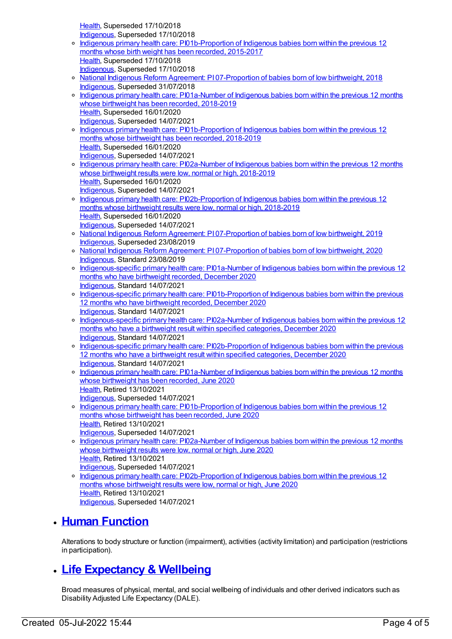[Health](https://meteor.aihw.gov.au/RegistrationAuthority/12), Superseded 17/10/2018 [Indigenous](https://meteor.aihw.gov.au/RegistrationAuthority/6), Superseded 17/10/2018

|         | <u><b>INGUSTIOUS</b></u> , Superseaga 17710/2010                                                        |
|---------|---------------------------------------------------------------------------------------------------------|
| $\circ$ | Indigenous primary health care: PI01b-Proportion of Indigenous babies born within the previous 12       |
|         | months whose birth weight has been recorded, 2015-2017                                                  |
|         | Health, Superseded 17/10/2018                                                                           |
|         | Indigenous, Superseded 17/10/2018                                                                       |
| $\circ$ | National Indigenous Reform Agreement: P107-Proportion of babies born of low birthweight, 2018           |
|         | Indigenous, Superseded 31/07/2018                                                                       |
| $\circ$ | Indigenous primary health care: PI01a-Number of Indigenous babies born within the previous 12 months    |
|         | whose birthweight has been recorded, 2018-2019                                                          |
|         | Health, Superseded 16/01/2020                                                                           |
|         |                                                                                                         |
|         | Indigenous, Superseded 14/07/2021                                                                       |
| $\circ$ | Indigenous primary health care: PI01b-Proportion of Indigenous babies born within the previous 12       |
|         | months whose birthweight has been recorded, 2018-2019                                                   |
|         | Health, Superseded 16/01/2020                                                                           |
|         | Indigenous, Superseded 14/07/2021                                                                       |
| $\circ$ | Indigenous primary health care: PI02a-Number of Indigenous babies born within the previous 12 months    |
|         | whose birthweight results were low, normal or high, 2018-2019                                           |
|         | Health, Superseded 16/01/2020                                                                           |
|         | Indigenous, Superseded 14/07/2021                                                                       |
| $\circ$ | Indigenous primary health care: PI02b-Proportion of Indigenous babies born within the previous 12       |
|         | months whose birthweight results were low, normal or high, 2018-2019                                    |
|         | Health, Superseded 16/01/2020                                                                           |
|         | Indigenous, Superseded 14/07/2021                                                                       |
| $\circ$ | National Indigenous Reform Agreement: P107-Proportion of babies born of low birthweight, 2019           |
|         | Indigenous, Superseded 23/08/2019                                                                       |
| $\circ$ | National Indigenous Reform Agreement: P107-Proportion of babies born of low birthweight, 2020           |
|         | Indigenous, Standard 23/08/2019                                                                         |
| $\circ$ | Indigenous-specific primary health care: PI01a-Number of Indigenous babies born within the previous 12  |
|         | months who have birthweight recorded, December 2020                                                     |
|         | Indigenous, Standard 14/07/2021                                                                         |
| $\circ$ | Indigenous-specific primary health care: PI01b-Proportion of Indigenous babies born within the previous |
|         | 12 months who have birthweight recorded, December 2020                                                  |
|         | Indigenous, Standard 14/07/2021                                                                         |
| $\circ$ | Indigenous-specific primary health care: PI02a-Number of Indigenous babies born within the previous 12  |
|         | months who have a birthweight result within specified categories, December 2020                         |
|         | Indigenous, Standard 14/07/2021                                                                         |
| $\circ$ | Indigenous-specific primary health care: PI02b-Proportion of Indigenous babies born within the previous |
|         | 12 months who have a birthweight result within specified categories, December 2020                      |
|         | Indigenous, Standard 14/07/2021                                                                         |
|         |                                                                                                         |
| о       | Indigenous primary health care: PI01a-Number of Indigenous babies born within the previous 12 months    |
|         | whose birthweight has been recorded, June 2020                                                          |
|         | Health, Retired 13/10/2021                                                                              |
|         | Indigenous, Superseded 14/07/2021                                                                       |
| $\circ$ | Indigenous primary health care: PI01b-Proportion of Indigenous babies born within the previous 12       |
|         | months whose birthweight has been recorded, June 2020                                                   |
|         | Health, Retired 13/10/2021                                                                              |
|         | Indigenous, Superseded 14/07/2021                                                                       |
| $\circ$ | Indigenous primary health care: PI02a-Number of Indigenous babies born within the previous 12 months    |
|         | whose birthweight results were low, normal or high, June 2020                                           |
|         | Health, Retired 13/10/2021                                                                              |
|         | Indigenous, Superseded 14/07/2021                                                                       |
| $\circ$ | Indigenous primary health care: PI02b-Proportion of Indigenous babies born within the previous 12       |
|         | months whose birthweight results were low, normal or high, June 2020                                    |
|         | Health, Retired 13/10/2021                                                                              |
|         | Indigenous, Superseded 14/07/2021                                                                       |

### **Human [Function](https://meteor.aihw.gov.au/content/410651)**

Alterations to body structure or function (impairment), activities (activity limitation) and participation (restrictions in participation).

# **Life [Expectancy](https://meteor.aihw.gov.au/content/410670) & Wellbeing**

Broad measures of physical, mental, and social wellbeing of individuals and other derived indicators such as Disability Adjusted Life Expectancy (DALE).